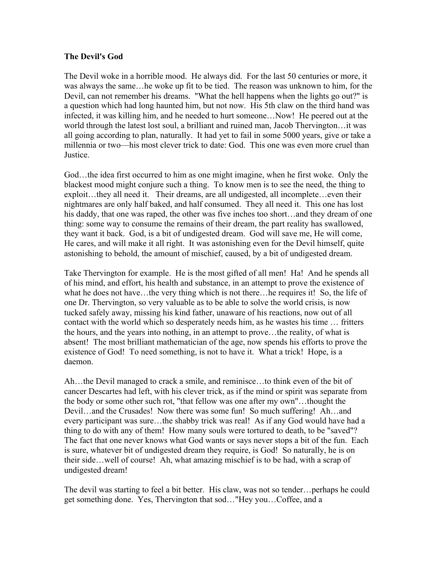## **The Devil's God**

The Devil woke in a horrible mood. He always did. For the last 50 centuries or more, it was always the same…he woke up fit to be tied. The reason was unknown to him, for the Devil, can not remember his dreams. "What the hell happens when the lights go out?" is a question which had long haunted him, but not now. His 5th claw on the third hand was infected, it was killing him, and he needed to hurt someone…Now! He peered out at the world through the latest lost soul, a brilliant and ruined man, Jacob Thervington…it was all going according to plan, naturally. It had yet to fail in some 5000 years, give or take a millennia or two––his most clever trick to date: God. This one was even more cruel than **Justice** 

God…the idea first occurred to him as one might imagine, when he first woke. Only the blackest mood might conjure such a thing. To know men is to see the need, the thing to exploit…they all need it. Their dreams, are all undigested, all incomplete…even their nightmares are only half baked, and half consumed. They all need it. This one has lost his daddy, that one was raped, the other was five inches too short...and they dream of one thing: some way to consume the remains of their dream, the part reality has swallowed, they want it back. God, is a bit of undigested dream. God will save me, He will come, He cares, and will make it all right. It was astonishing even for the Devil himself, quite astonishing to behold, the amount of mischief, caused, by a bit of undigested dream.

Take Thervington for example. He is the most gifted of all men! Ha! And he spends all of his mind, and effort, his health and substance, in an attempt to prove the existence of what he does not have...the very thing which is not there...he requires it! So, the life of one Dr. Thervington, so very valuable as to be able to solve the world crisis, is now tucked safely away, missing his kind father, unaware of his reactions, now out of all contact with the world which so desperately needs him, as he wastes his time … fritters the hours, and the years into nothing, in an attempt to prove…the reality, of what is absent! The most brilliant mathematician of the age, now spends his efforts to prove the existence of God! To need something, is not to have it. What a trick! Hope, is a daemon.

Ah…the Devil managed to crack a smile, and reminisce…to think even of the bit of cancer Descartes had left, with his clever trick, as if the mind or spirit was separate from the body or some other such rot, "that fellow was one after my own"…thought the Devil…and the Crusades! Now there was some fun! So much suffering! Ah…and every participant was sure…the shabby trick was real! As if any God would have had a thing to do with any of them! How many souls were tortured to death, to be "saved"? The fact that one never knows what God wants or says never stops a bit of the fun. Each is sure, whatever bit of undigested dream they require, is God! So naturally, he is on their side…well of course! Ah, what amazing mischief is to be had, with a scrap of undigested dream!

The devil was starting to feel a bit better. His claw, was not so tender…perhaps he could get something done. Yes, Thervington that sod…"Hey you…Coffee, and a